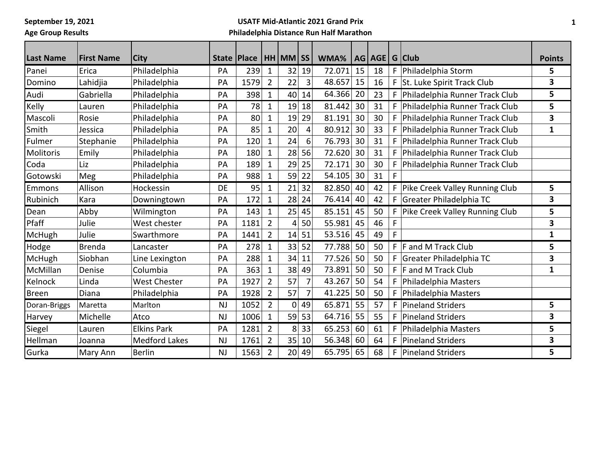**September 19, 2021**

**Age Group Results**

## **USATF Mid-Atlantic 2021 Grand Prix Philadelphia Distance Run Half Marathon**

| <b>Last Name</b> | <b>First Name</b> | <b>City</b>          |           | <b>State Place</b> |                | HH MM SS |                  | WMA%   |    | AG   AGE   G   Club |    |                                  | <b>Points</b> |
|------------------|-------------------|----------------------|-----------|--------------------|----------------|----------|------------------|--------|----|---------------------|----|----------------------------------|---------------|
| Panei            | Erica             | Philadelphia         | PA        | 239                | 1              | 32       | 19               | 72.071 | 15 | 18                  |    | F   Philadelphia Storm           | 5             |
| Domino           | Lahidjia          | Philadelphia         | PA        | 1579               | $\overline{2}$ | 22       | 3                | 48.657 | 15 | 16                  |    | F St. Luke Spirit Track Club     | 3             |
| Audi             | Gabriella         | Philadelphia         | PA        | 398                | $\mathbf{1}$   | 40       | 14               | 64.366 | 20 | 23                  | F. | Philadelphia Runner Track Club   | 5             |
| Kelly            | Lauren            | Philadelphia         | PA        | 78                 | $\mathbf{1}$   | 19       | 18               | 81.442 | 30 | 31                  | F  | Philadelphia Runner Track Club   | 5             |
| Mascoli          | Rosie             | Philadelphia         | PA        | 80                 | $\mathbf{1}$   | 19       | 29               | 81.191 | 30 | 30                  | F  | Philadelphia Runner Track Club   | 3             |
| Smith            | Jessica           | Philadelphia         | PA        | 85                 | $\mathbf{1}$   | 20       | 4                | 80.912 | 30 | 33                  | F  | Philadelphia Runner Track Club   | $\mathbf{1}$  |
| Fulmer           | Stephanie         | Philadelphia         | PA        | 120                | $\mathbf{1}$   | 24       | $6 \overline{6}$ | 76.793 | 30 | 31                  | F  | Philadelphia Runner Track Club   |               |
| <b>Molitoris</b> | Emily             | Philadelphia         | PA        | 180                | 1              | 28       | 56               | 72.620 | 30 | 31                  | F  | Philadelphia Runner Track Club   |               |
| Coda             | Liz               | Philadelphia         | PA        | 189                | $\mathbf{1}$   | 29       | 25               | 72.171 | 30 | 30                  | F  | Philadelphia Runner Track Club   |               |
| Gotowski         | Meg               | Philadelphia         | PA        | 988                | $\mathbf{1}$   | 59       | 22               | 54.105 | 30 | 31                  | F  |                                  |               |
| Emmons           | Allison           | Hockessin            | DE        | 95                 | $\mathbf{1}$   | 21       | 32               | 82.850 | 40 | 42                  |    | F Pike Creek Valley Running Club | 5             |
| Rubinich         | Kara              | Downingtown          | PA        | 172                | $\mathbf 1$    | 28       | 24               | 76.414 | 40 | 42                  | F. | Greater Philadelphia TC          | 3             |
| Dean             | Abby              | Wilmington           | PA        | 143                | 1              | 25       | 45               | 85.151 | 45 | 50                  | F  | Pike Creek Valley Running Club   | 5             |
| Pfaff            | Julie             | West chester         | PA        | 1181               | $\overline{2}$ | 4        | 50               | 55.981 | 45 | 46                  | F  |                                  | 3             |
| McHugh           | Julie             | Swarthmore           | PA        | 1441               | $\overline{2}$ | 14       | 51               | 53.516 | 45 | 49                  | F  |                                  | 1             |
| Hodge            | <b>Brenda</b>     | Lancaster            | PA        | 278                | $\mathbf 1$    | 33       | 52               | 77.788 | 50 | 50                  |    | $F$ F and M Track Club           | 5             |
| McHugh           | Siobhan           | Line Lexington       | PA        | 288                | $\mathbf{1}$   | 34       | 11               | 77.526 | 50 | 50                  | F. | Greater Philadelphia TC          | 3             |
| McMillan         | Denise            | Columbia             | PA        | 363                | $\mathbf{1}$   | 38       | 49               | 73.891 | 50 | 50                  |    | $F$ F and M Track Club           | $\mathbf{1}$  |
| Kelnock          | Linda             | <b>West Chester</b>  | PA        | 1927               | $\overline{2}$ | 57       | 7                | 43.267 | 50 | 54                  | F  | Philadelphia Masters             |               |
| Breen            | Diana             | Philadelphia         | PA        | 1928               | $\overline{2}$ | 57       |                  | 41.225 | 50 | 50                  | F  | Philadelphia Masters             |               |
| Doran-Briggs     | Maretta           | Marlton              | NJ        | 1052               | $\overline{2}$ | 0        | 49               | 65.871 | 55 | 57                  | F  | Pineland Striders                | 5             |
| Harvey           | Michelle          | Atco                 | <b>NJ</b> | 1006               | $\mathbf{1}$   | 59       | 53               | 64.716 | 55 | 55                  | F  | <b>Pineland Striders</b>         | 3             |
| Siegel           | Lauren            | <b>Elkins Park</b>   | PA        | 1281               | $\overline{2}$ | 8        | 33               | 65.253 | 60 | 61                  | F  | Philadelphia Masters             | 5             |
| Hellman          | Joanna            | <b>Medford Lakes</b> | <b>NJ</b> | 1761               | $\overline{2}$ | 35       | 10               | 56.348 | 60 | 64                  | F  | <b>Pineland Striders</b>         | 3             |
| Gurka            | Mary Ann          | <b>Berlin</b>        | <b>NJ</b> | 1563               | $\overline{2}$ |          | 20 49            | 65.795 | 65 | 68                  | F. | Pineland Striders                | 5             |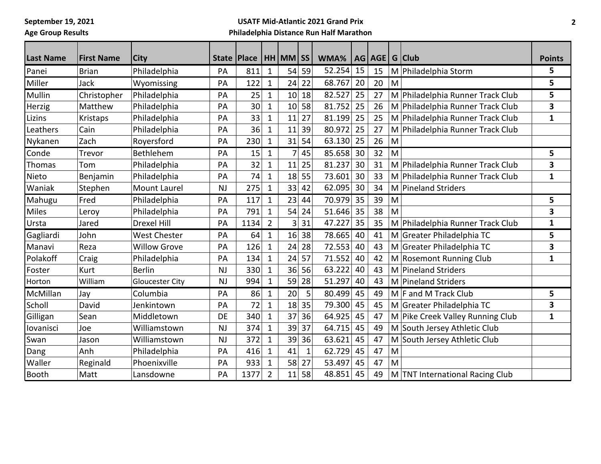**September 19, 2021**

**Age Group Results**

## **USATF Mid-Atlantic 2021 Grand Prix Philadelphia Distance Run Half Marathon**

| <b>Last Name</b> | <b>First Name</b> | <b>City</b>            |           | State   Place |                | HH MM SS |    | WMA%   |    | AG   AGE   G   Club |   |                                  | <b>Points</b> |
|------------------|-------------------|------------------------|-----------|---------------|----------------|----------|----|--------|----|---------------------|---|----------------------------------|---------------|
| Panei            | <b>Brian</b>      | Philadelphia           | PA        | 811           | $\mathbf 1$    | 54       | 59 | 52.254 | 15 | 15                  |   | M Philadelphia Storm             | 5             |
| Miller           | <b>Jack</b>       | Wyomissing             | PA        | 122           | $\mathbf 1$    | 24       | 22 | 68.767 | 20 | 20                  | M |                                  | 5             |
| Mullin           | Christopher       | Philadelphia           | PA        | 25            | $\mathbf 1$    | 10       | 18 | 82.527 | 25 | 27                  |   | M Philadelphia Runner Track Club | 5             |
| Herzig           | Matthew           | Philadelphia           | PA        | 30            | $\mathbf{1}$   | 10       | 58 | 81.752 | 25 | 26                  |   | M Philadelphia Runner Track Club | 3             |
| Lizins           | Kristaps          | Philadelphia           | PA        | 33            | $\mathbf 1$    | 11       | 27 | 81.199 | 25 | 25                  |   | M Philadelphia Runner Track Club | 1             |
| Leathers         | Cain              | Philadelphia           | PA        | 36            | $\mathbf 1$    | 11       | 39 | 80.972 | 25 | 27                  |   | M Philadelphia Runner Track Club |               |
| Nykanen          | Zach              | Royersford             | PA        | 230           | $\mathbf 1$    | 31       | 54 | 63.130 | 25 | 26                  | M |                                  |               |
| Conde            | Trevor            | Bethlehem              | PA        | 15            | $\mathbf{1}$   |          | 45 | 85.658 | 30 | 32                  | M |                                  | 5             |
| Thomas           | Tom               | Philadelphia           | PA        | 32            | 1              | 11       | 25 | 81.237 | 30 | 31                  |   | M Philadelphia Runner Track Club | 3             |
| Nieto            | Benjamin          | Philadelphia           | PA        | 74            | $\mathbf{1}$   | 18       | 55 | 73.601 | 30 | 33                  |   | M Philadelphia Runner Track Club | $\mathbf{1}$  |
| Waniak           | Stephen           | <b>Mount Laurel</b>    | <b>NJ</b> | 275           | $\mathbf 1$    | 33       | 42 | 62.095 | 30 | 34                  |   | M Pineland Striders              |               |
| Mahugu           | Fred              | Philadelphia           | PA        | 117           | $\mathbf{1}$   | 23       | 44 | 70.979 | 35 | 39                  | M |                                  | 5             |
| <b>Miles</b>     | Leroy             | Philadelphia           | PA        | 791           | $\mathbf{1}$   | 54       | 24 | 51.646 | 35 | 38                  | M |                                  | 3             |
| Ursta            | Jared             | <b>Drexel Hill</b>     | PA        | 1134          | $\overline{2}$ | 3        | 31 | 47.227 | 35 | 35                  |   | M Philadelphia Runner Track Club | 1             |
| Gagliardi        | John              | <b>West Chester</b>    | PA        | 64            | $\mathbf{1}$   | 16       | 38 | 78.665 | 40 | 41                  |   | M Greater Philadelphia TC        | 5             |
| Manavi           | Reza              | <b>Willow Grove</b>    | PA        | 126           | $\mathbf{1}$   | 24       | 28 | 72.553 | 40 | 43                  |   | M Greater Philadelphia TC        | 3             |
| Polakoff         | Craig             | Philadelphia           | PA        | 134           | $\mathbf{1}$   | 24       | 57 | 71.552 | 40 | 42                  |   | M Rosemont Running Club          | $\mathbf{1}$  |
| Foster           | Kurt              | <b>Berlin</b>          | <b>NJ</b> | 330           | $\mathbf 1$    | 36       | 56 | 63.222 | 40 | 43                  |   | M Pineland Striders              |               |
| Horton           | William           | <b>Gloucester City</b> | NJ        | 994           | $\mathbf{1}$   | 59       | 28 | 51.297 | 40 | 43                  |   | M Pineland Striders              |               |
| McMillan         | Jay               | Columbia               | PA        | 86            | $\mathbf{1}$   | 20       | 5  | 80.499 | 45 | 49                  |   | $M \mid F$ and M Track Club      | 5             |
| Scholl           | David             | Jenkintown             | PA        | 72            | $\mathbf{1}$   | 18       | 35 | 79.300 | 45 | 45                  |   | M Greater Philadelphia TC        | 3             |
| Gilligan         | Sean              | Middletown             | DE        | 340           | $\mathbf{1}$   | 37       | 36 | 64.925 | 45 | 47                  |   | M Pike Creek Valley Running Club | 1             |
| lovanisci        | Joe               | Williamstown           | <b>NJ</b> | 374           | $\mathbf 1$    | 39       | 37 | 64.715 | 45 | 49                  |   | M South Jersey Athletic Club     |               |
| Swan             | Jason             | Williamstown           | <b>NJ</b> | 372           | $\mathbf{1}$   | 39       | 36 | 63.621 | 45 | 47                  |   | M South Jersey Athletic Club     |               |
| Dang             | Anh               | Philadelphia           | PA        | 416           | $\mathbf 1$    | 41       | 1  | 62.729 | 45 | 47                  | M |                                  |               |
| Waller           | Reginald          | Phoenixville           | PA        | 933           | $\mathbf{1}$   | 58       | 27 | 53.497 | 45 | 47                  | M |                                  |               |
| <b>Booth</b>     | Matt              | Lansdowne              | PA        | 1377          | $\overline{2}$ | 11       | 58 | 48.851 | 45 | 49                  |   | M TNT International Racing Club  |               |